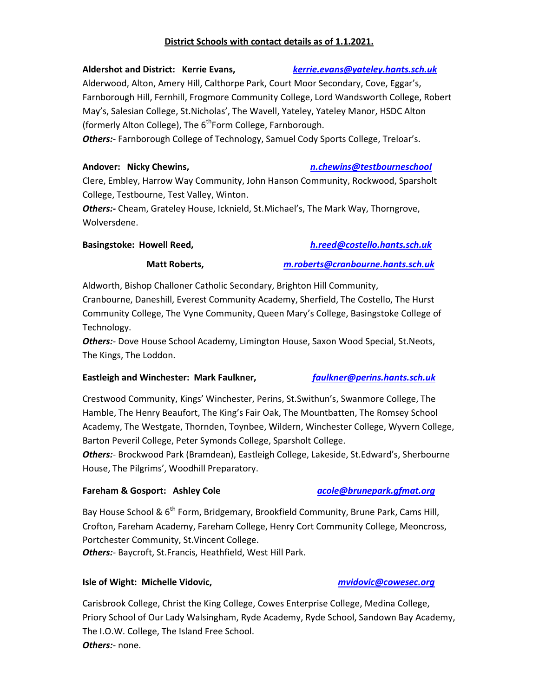# **District Schools with contact details as of 1.1.2021.**

### **Aldershot and District: Kerrie Evans,** *kerrie.evans@yateley.hants.sch.uk*

Alderwood, Alton, Amery Hill, Calthorpe Park, Court Moor Secondary, Cove, Eggar's, Farnborough Hill, Fernhill, Frogmore Community College, Lord Wandsworth College, Robert May's, Salesian College, St.Nicholas', The Wavell, Yateley, Yateley Manor, HSDC Alton (formerly Alton College), The  $6<sup>th</sup>$ Form College, Farnborough.

*Others:*- Farnborough College of Technology, Samuel Cody Sports College, Treloar's.

### **Andover: Nicky Chewins,** *n.chewins@testbourneschool*

Clere, Embley, Harrow Way Community, John Hanson Community, Rockwood, Sparsholt College, Testbourne, Test Valley, Winton.

*Others:-* Cheam, Grateley House, Icknield, St.Michael's, The Mark Way, Thorngrove, Wolversdene.

**Basingstoke: Howell Reed,** *h.reed@costello.hants.sch.uk*

 **Matt Roberts,** *m.roberts@cranbourne.hants.sch.uk*

Aldworth, Bishop Challoner Catholic Secondary, Brighton Hill Community, Cranbourne, Daneshill, Everest Community Academy, Sherfield, The Costello, The Hurst Community College, The Vyne Community, Queen Mary's College, Basingstoke College of Technology.

*Others:*- Dove House School Academy, Limington House, Saxon Wood Special, St.Neots, The Kings, The Loddon.

### **Eastleigh and Winchester: Mark Faulkner,** *faulkner@perins.hants.sch.uk*

Crestwood Community, Kings' Winchester, Perins, St.Swithun's, Swanmore College, The Hamble, The Henry Beaufort, The King's Fair Oak, The Mountbatten, The Romsey School Academy, The Westgate, Thornden, Toynbee, Wildern, Winchester College, Wyvern College, Barton Peveril College, Peter Symonds College, Sparsholt College.

*Others:*- Brockwood Park (Bramdean), Eastleigh College, Lakeside, St.Edward's, Sherbourne House, The Pilgrims', Woodhill Preparatory.

# **Fareham & Gosport: Ashley Cole** *acole@brunepark.gfmat.org*

Bay House School & 6<sup>th</sup> Form, Bridgemary, Brookfield Community, Brune Park, Cams Hill, Crofton, Fareham Academy, Fareham College, Henry Cort Community College, Meoncross, Portchester Community, St.Vincent College. *Others:*- Baycroft, St.Francis, Heathfield, West Hill Park.

# **Isle of Wight: Michelle Vidovic,** *mvidovic@cowesec.org*

Carisbrook College, Christ the King College, Cowes Enterprise College, Medina College, Priory School of Our Lady Walsingham, Ryde Academy, Ryde School, Sandown Bay Academy, The I.O.W. College, The Island Free School. *Others:*- none.